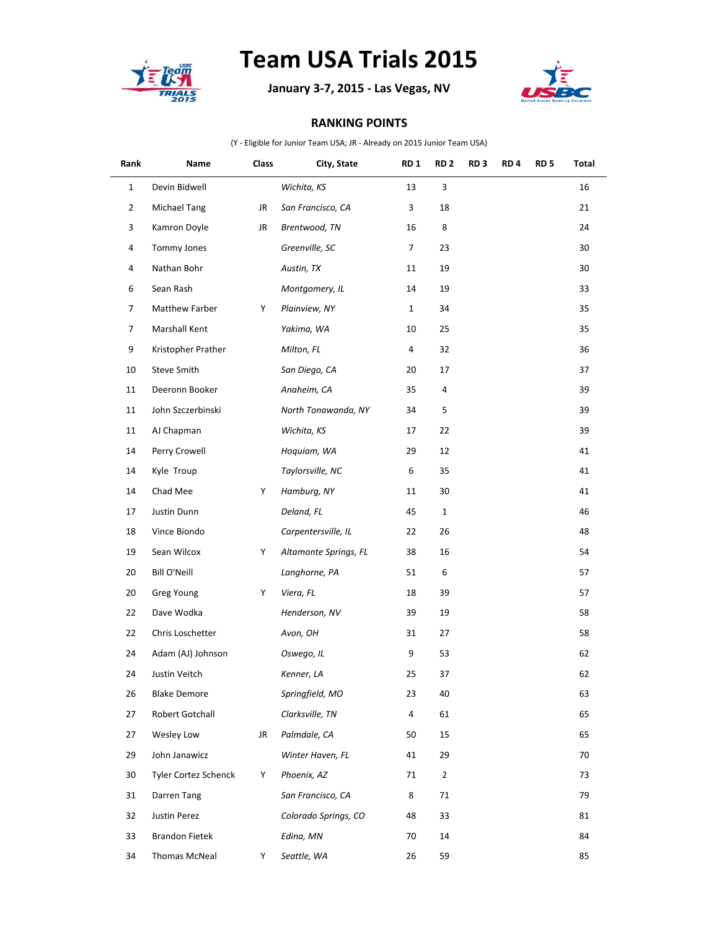

## **Team USA Trials 2015**

**January 3-7, 2015 - Las Vegas, NV**



## **RANKING POINTS**

(Y - Eligible for Junior Team USA; JR - Already on 2015 Junior Team USA)

| Rank           | Name                        | Class | City, State           | RD <sub>1</sub> | RD <sub>2</sub>  | RD <sub>3</sub> | RD <sub>4</sub> | RD <sub>5</sub> | Total |
|----------------|-----------------------------|-------|-----------------------|-----------------|------------------|-----------------|-----------------|-----------------|-------|
| $\mathbf{1}$   | Devin Bidwell               |       | Wichita, KS           | 13              | 3                |                 |                 |                 | 16    |
| $\overline{2}$ | Michael Tang                | JR    | San Francisco, CA     | 3               | 18               |                 |                 |                 | 21    |
| 3              | Kamron Doyle                | JR    | Brentwood, TN         | 16              | 8                |                 |                 |                 | 24    |
| 4              | Tommy Jones                 |       | Greenville, SC        | 7               | 23               |                 |                 |                 | 30    |
| 4              | Nathan Bohr                 |       | Austin, TX            | 11              | 19               |                 |                 |                 | 30    |
| 6              | Sean Rash                   |       | Montgomery, IL        | 14              | 19               |                 |                 |                 | 33    |
| 7              | Matthew Farber              | Y     | Plainview, NY         | $\mathbf{1}$    | 34               |                 |                 |                 | 35    |
| 7              | Marshall Kent               |       | Yakima, WA            | 10              | 25               |                 |                 |                 | 35    |
| 9              | Kristopher Prather          |       | Milton, FL            | 4               | 32               |                 |                 |                 | 36    |
| 10             | Steve Smith                 |       | San Diego, CA         | 20              | 17               |                 |                 |                 | 37    |
| 11             | Deeronn Booker              |       | Anaheim, CA           | 35              | 4                |                 |                 |                 | 39    |
| 11             | John Szczerbinski           |       | North Tonawanda, NY   | 34              | 5                |                 |                 |                 | 39    |
| 11             | AJ Chapman                  |       | Wichita, KS           | 17              | 22               |                 |                 |                 | 39    |
| 14             | Perry Crowell               |       | Hoquiam, WA           | 29              | 12               |                 |                 |                 | 41    |
| 14             | Kyle Troup                  |       | Taylorsville, NC      | 6               | 35               |                 |                 |                 | 41    |
| 14             | Chad Mee                    | Y     | Hamburg, NY           | 11              | 30               |                 |                 |                 | 41    |
| 17             | Justin Dunn                 |       | Deland, FL            | 45              | $\mathbf{1}$     |                 |                 |                 | 46    |
| 18             | Vince Biondo                |       | Carpentersville, IL   | 22              | 26               |                 |                 |                 | 48    |
| 19             | Sean Wilcox                 | Y     | Altamonte Springs, FL | 38              | 16               |                 |                 |                 | 54    |
| 20             | Bill O'Neill                |       | Langhorne, PA         | 51              | $\boldsymbol{6}$ |                 |                 |                 | 57    |
| 20             | Greg Young                  | Y     | Viera, FL             | 18              | 39               |                 |                 |                 | 57    |
| 22             | Dave Wodka                  |       | Henderson, NV         | 39              | 19               |                 |                 |                 | 58    |
| 22             | Chris Loschetter            |       | Avon, OH              | 31              | 27               |                 |                 |                 | 58    |
| 24             | Adam (AJ) Johnson           |       | Oswego, IL            | 9               | 53               |                 |                 |                 | 62    |
| 24             | Justin Veitch               |       | Kenner, LA            | 25              | 37               |                 |                 |                 | 62    |
| 26             | <b>Blake Demore</b>         |       | Springfield, MO       | 23              | 40               |                 |                 |                 | 63    |
| 27             | Robert Gotchall             |       | Clarksville, TN       | 4               | 61               |                 |                 |                 | 65    |
| 27             | Wesley Low                  | JR    | Palmdale, CA          | 50              | 15               |                 |                 |                 | 65    |
| 29             | John Janawicz               |       | Winter Haven, FL      | 41              | 29               |                 |                 |                 | 70    |
| 30             | <b>Tyler Cortez Schenck</b> | Y     | Phoenix, AZ           | 71              | $\overline{2}$   |                 |                 |                 | 73    |
| 31             | Darren Tang                 |       | San Francisco, CA     | 8               | 71               |                 |                 |                 | 79    |
| 32             | Justin Perez                |       | Colorado Springs, CO  | 48              | 33               |                 |                 |                 | 81    |
| 33             | <b>Brandon Fietek</b>       |       | Edina, MN             | 70              | 14               |                 |                 |                 | 84    |
| 34             | Thomas McNeal               | Y     | Seattle, WA           | 26              | 59               |                 |                 |                 | 85    |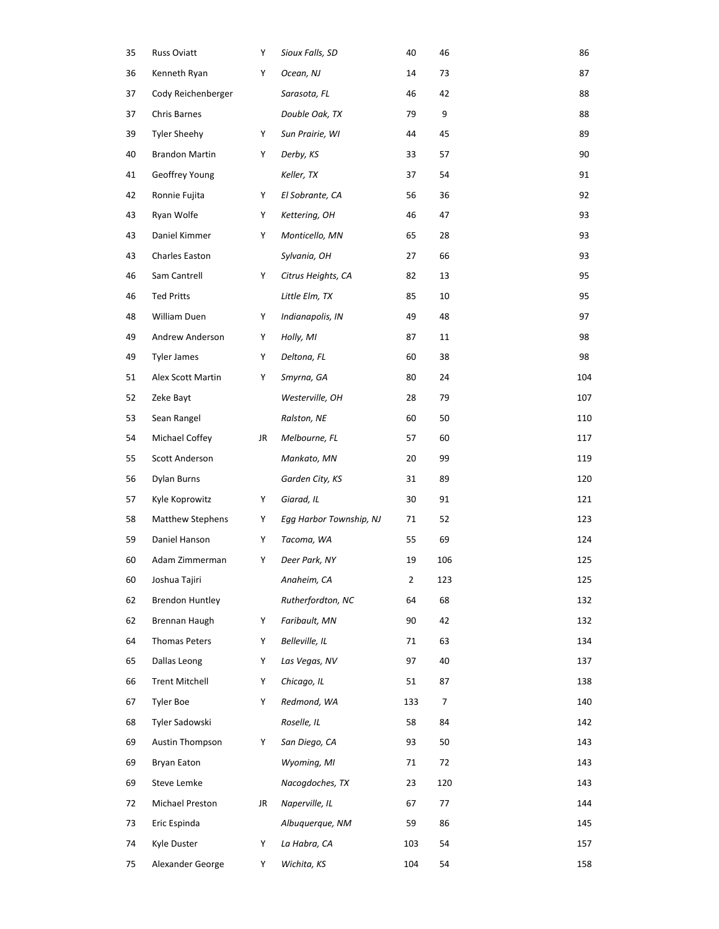| 35 | Russ Oviatt             | Y  | Sioux Falls, SD         | 40          | 46  | 86  |
|----|-------------------------|----|-------------------------|-------------|-----|-----|
| 36 | Kenneth Ryan            | Y  | Ocean, NJ               | 14          | 73  | 87  |
| 37 | Cody Reichenberger      |    | Sarasota, FL            | 46          | 42  | 88  |
| 37 | Chris Barnes            |    | Double Oak, TX          | 79          | 9   | 88  |
| 39 | <b>Tyler Sheehy</b>     | Y  | Sun Prairie, WI         | 44          | 45  | 89  |
| 40 | <b>Brandon Martin</b>   | Y  | Derby, KS               | 33          | 57  | 90  |
| 41 | Geoffrey Young          |    | Keller, TX              | 37          | 54  | 91  |
| 42 | Ronnie Fujita           | Y  | El Sobrante, CA         | 56          | 36  | 92  |
| 43 | Ryan Wolfe              | Y  | Kettering, OH           | 46          | 47  | 93  |
| 43 | Daniel Kimmer           | Y  | Monticello, MN          | 65          | 28  | 93  |
| 43 | Charles Easton          |    | Sylvania, OH            | 27          | 66  | 93  |
| 46 | Sam Cantrell            | Y  | Citrus Heights, CA      | 82          | 13  | 95  |
| 46 | <b>Ted Pritts</b>       |    | Little Elm, TX          | 85          | 10  | 95  |
| 48 | William Duen            | Y  | Indianapolis, IN        | 49          | 48  | 97  |
| 49 | Andrew Anderson         | Y  | Holly, MI               | 87          | 11  | 98  |
| 49 | <b>Tyler James</b>      | Y  | Deltona, FL             | 60          | 38  | 98  |
| 51 | Alex Scott Martin       | Y  | Smyrna, GA              | 80          | 24  | 104 |
| 52 | Zeke Bayt               |    | Westerville, OH         | 28          | 79  | 107 |
| 53 | Sean Rangel             |    | Ralston, NE             | 60          | 50  | 110 |
| 54 | Michael Coffey          | JR | Melbourne, FL           | 57          | 60  | 117 |
| 55 | Scott Anderson          |    | Mankato, MN             | 20          | 99  | 119 |
| 56 | Dylan Burns             |    | Garden City, KS         | 31          | 89  | 120 |
| 57 | Kyle Koprowitz          | Y  | Giarad, IL              | 30          | 91  | 121 |
| 58 | <b>Matthew Stephens</b> | Y  | Egg Harbor Township, NJ | 71          | 52  | 123 |
| 59 | Daniel Hanson           | Y  | Tacoma, WA              | 55          | 69  | 124 |
| 60 | Adam Zimmerman          | Y  | Deer Park, NY           | 19          | 106 | 125 |
| 60 | Joshua Tajiri           |    | Anaheim, CA             | $\mathbf 2$ | 123 | 125 |
| 62 | <b>Brendon Huntley</b>  |    | Rutherfordton, NC       | 64          | 68  | 132 |
| 62 | Brennan Haugh           | Y  | Faribault, MN           | 90          | 42  | 132 |
| 64 | Thomas Peters           | Y  | Belleville, IL          | 71          | 63  | 134 |
| 65 | Dallas Leong            | Y  | Las Vegas, NV           | 97          | 40  | 137 |
| 66 | <b>Trent Mitchell</b>   | Y  | Chicago, IL             | 51          | 87  | 138 |
| 67 | <b>Tyler Boe</b>        | Y  | Redmond, WA             | 133         | 7   | 140 |
| 68 | Tyler Sadowski          |    | Roselle, IL             | 58          | 84  | 142 |
| 69 | <b>Austin Thompson</b>  | Y  | San Diego, CA           | 93          | 50  | 143 |
| 69 | Bryan Eaton             |    | Wyoming, MI             | 71          | 72  | 143 |
| 69 | Steve Lemke             |    | Nacogdoches, TX         | 23          | 120 | 143 |
| 72 | Michael Preston         | JR | Naperville, IL          | 67          | 77  | 144 |
| 73 | Eric Espinda            |    | Albuquerque, NM         | 59          | 86  | 145 |
| 74 | Kyle Duster             | Y  | La Habra, CA            | 103         | 54  | 157 |
| 75 | Alexander George        | Y  | Wichita, KS             | 104         | 54  | 158 |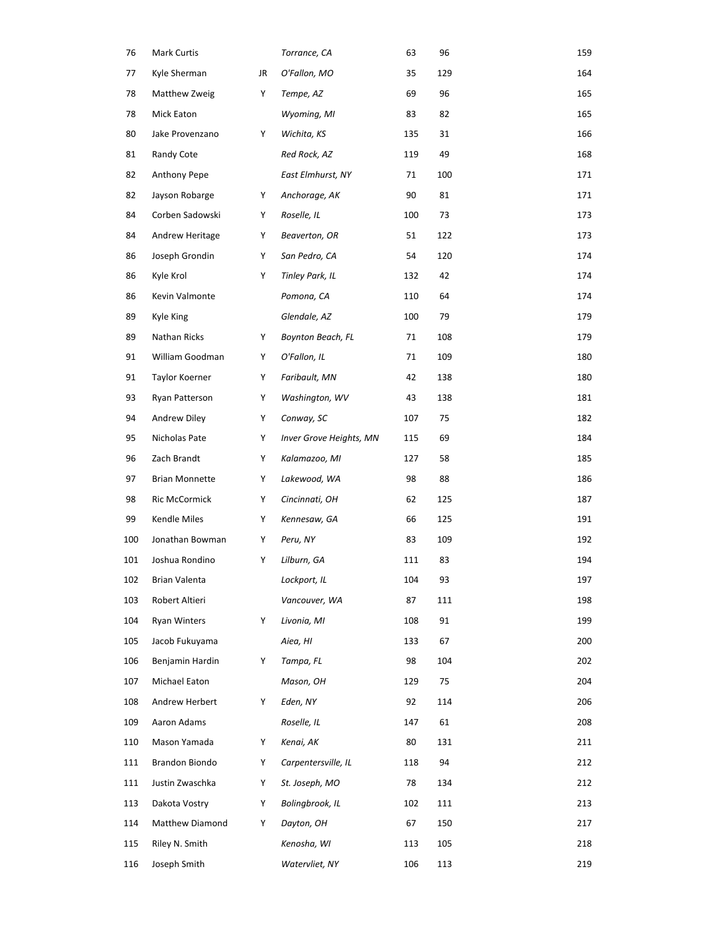| 76  | <b>Mark Curtis</b>    |    | Torrance, CA            | 63  | 96  | 159 |
|-----|-----------------------|----|-------------------------|-----|-----|-----|
| 77  | Kyle Sherman          | JR | O'Fallon, MO            | 35  | 129 | 164 |
| 78  | Matthew Zweig         | Υ  | Tempe, AZ               | 69  | 96  | 165 |
| 78  | <b>Mick Eaton</b>     |    | Wyoming, MI             | 83  | 82  | 165 |
| 80  | Jake Provenzano       | Y  | Wichita, KS             | 135 | 31  | 166 |
| 81  | Randy Cote            |    | Red Rock, AZ            | 119 | 49  | 168 |
| 82  | Anthony Pepe          |    | East Elmhurst, NY       | 71  | 100 | 171 |
| 82  | Jayson Robarge        | Υ  | Anchorage, AK           | 90  | 81  | 171 |
| 84  | Corben Sadowski       | Υ  | Roselle, IL             | 100 | 73  | 173 |
| 84  | Andrew Heritage       | Υ  | Beaverton, OR           | 51  | 122 | 173 |
| 86  | Joseph Grondin        | Υ  | San Pedro, CA           | 54  | 120 | 174 |
| 86  | Kyle Krol             | Υ  | Tinley Park, IL         | 132 | 42  | 174 |
| 86  | Kevin Valmonte        |    | Pomona, CA              | 110 | 64  | 174 |
| 89  | Kyle King             |    | Glendale, AZ            | 100 | 79  | 179 |
| 89  | Nathan Ricks          | Υ  | Boynton Beach, FL       | 71  | 108 | 179 |
| 91  | William Goodman       | Υ  | O'Fallon, IL            | 71  | 109 | 180 |
| 91  | Taylor Koerner        | Υ  | Faribault, MN           | 42  | 138 | 180 |
| 93  | Ryan Patterson        | Υ  | Washington, WV          | 43  | 138 | 181 |
| 94  | Andrew Diley          | Υ  | Conway, SC              | 107 | 75  | 182 |
| 95  | Nicholas Pate         | Υ  | Inver Grove Heights, MN | 115 | 69  | 184 |
| 96  | Zach Brandt           | Υ  | Kalamazoo, MI           | 127 | 58  | 185 |
| 97  | <b>Brian Monnette</b> | Υ  | Lakewood, WA            | 98  | 88  | 186 |
| 98  | Ric McCormick         | Y  | Cincinnati, OH          | 62  | 125 | 187 |
| 99  | Kendle Miles          | Υ  | Kennesaw, GA            | 66  | 125 | 191 |
| 100 | Jonathan Bowman       | Υ  | Peru, NY                | 83  | 109 | 192 |
| 101 | Joshua Rondino        | Y  | Lilburn, GA             | 111 | 83  | 194 |
| 102 | Brian Valenta         |    | Lockport, IL            | 104 | 93  | 197 |
| 103 | Robert Altieri        |    | Vancouver, WA           | 87  | 111 | 198 |
| 104 | <b>Ryan Winters</b>   | Y  | Livonia, MI             | 108 | 91  | 199 |
| 105 | Jacob Fukuyama        |    | Aiea, HI                | 133 | 67  | 200 |
| 106 | Benjamin Hardin       | Y  | Tampa, FL               | 98  | 104 | 202 |
| 107 | Michael Eaton         |    | Mason, OH               | 129 | 75  | 204 |
| 108 | Andrew Herbert        | Y  | Eden, NY                | 92  | 114 | 206 |
| 109 | Aaron Adams           |    | Roselle, IL             | 147 | 61  | 208 |
| 110 | Mason Yamada          | Y  | Kenai, AK               | 80  | 131 | 211 |
| 111 | Brandon Biondo        | Y  | Carpentersville, IL     | 118 | 94  | 212 |
| 111 | Justin Zwaschka       | Y  | St. Joseph, MO          | 78  | 134 | 212 |
| 113 | Dakota Vostry         | Y  | Bolingbrook, IL         | 102 | 111 | 213 |
| 114 | Matthew Diamond       | Y  | Dayton, OH              | 67  | 150 | 217 |
| 115 | Riley N. Smith        |    | Kenosha, WI             | 113 | 105 | 218 |
| 116 | Joseph Smith          |    | Watervliet, NY          | 106 | 113 | 219 |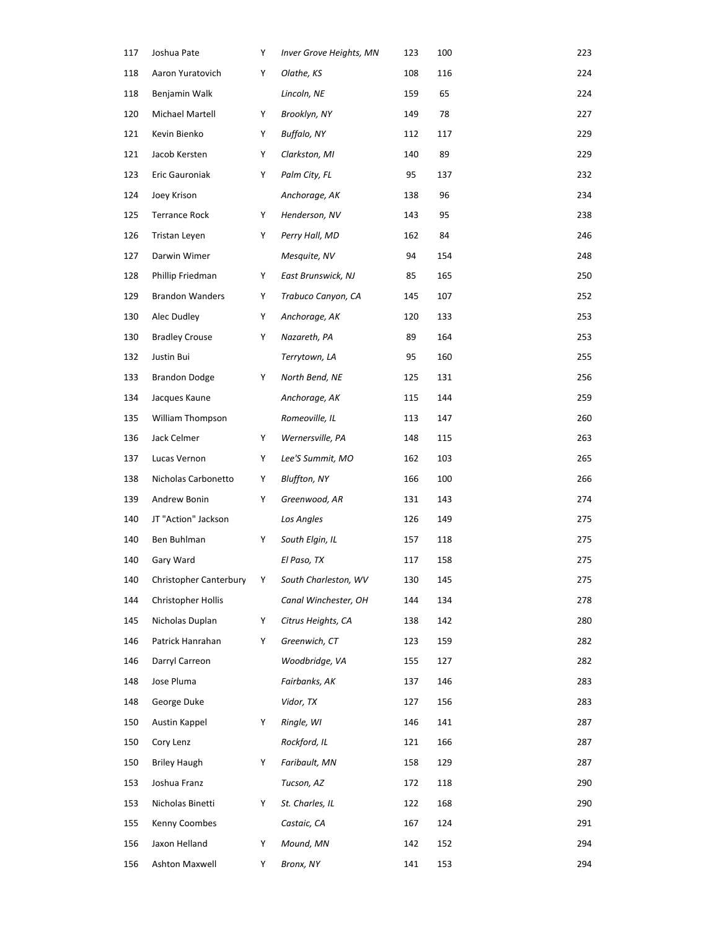| 117 | Joshua Pate             | Y | Inver Grove Heights, MN | 123 | 100 | 223 |
|-----|-------------------------|---|-------------------------|-----|-----|-----|
| 118 | Aaron Yuratovich        | Υ | Olathe, KS              | 108 | 116 | 224 |
| 118 | Benjamin Walk           |   | Lincoln, NE             | 159 | 65  | 224 |
| 120 | Michael Martell         | Y | Brooklyn, NY            | 149 | 78  | 227 |
| 121 | Kevin Bienko            | Y | Buffalo, NY             | 112 | 117 | 229 |
| 121 | Jacob Kersten           | Y | Clarkston, MI           | 140 | 89  | 229 |
| 123 | Eric Gauroniak          | Y | Palm City, FL           | 95  | 137 | 232 |
| 124 | Joey Krison             |   | Anchorage, AK           | 138 | 96  | 234 |
| 125 | Terrance Rock           | Υ | Henderson, NV           | 143 | 95  | 238 |
| 126 | Tristan Leyen           | Υ | Perry Hall, MD          | 162 | 84  | 246 |
| 127 | Darwin Wimer            |   | Mesquite, NV            | 94  | 154 | 248 |
| 128 | Phillip Friedman        | Y | East Brunswick, NJ      | 85  | 165 | 250 |
| 129 | <b>Brandon Wanders</b>  | Y | Trabuco Canyon, CA      | 145 | 107 | 252 |
| 130 | Alec Dudley             | Υ | Anchorage, AK           | 120 | 133 | 253 |
| 130 | <b>Bradley Crouse</b>   | Y | Nazareth, PA            | 89  | 164 | 253 |
| 132 | Justin Bui              |   | Terrytown, LA           | 95  | 160 | 255 |
| 133 | <b>Brandon Dodge</b>    | Υ | North Bend, NE          | 125 | 131 | 256 |
| 134 | Jacques Kaune           |   | Anchorage, AK           | 115 | 144 | 259 |
| 135 | <b>William Thompson</b> |   | Romeoville, IL          | 113 | 147 | 260 |
| 136 | Jack Celmer             | Υ | Wernersville, PA        | 148 | 115 | 263 |
| 137 | Lucas Vernon            | Y | Lee'S Summit, MO        | 162 | 103 | 265 |
| 138 | Nicholas Carbonetto     | Y | <b>Bluffton, NY</b>     | 166 | 100 | 266 |
| 139 | Andrew Bonin            | Y | Greenwood, AR           | 131 | 143 | 274 |
| 140 | JT "Action" Jackson     |   | Los Angles              | 126 | 149 | 275 |
| 140 | Ben Buhlman             | Y | South Elgin, IL         | 157 | 118 | 275 |
| 140 | Gary Ward               |   | El Paso, TX             | 117 | 158 | 275 |
| 140 | Christopher Canterbury  | Υ | South Charleston, WV    | 130 | 145 | 275 |
| 144 | Christopher Hollis      |   | Canal Winchester, OH    | 144 | 134 | 278 |
| 145 | Nicholas Duplan         | Y | Citrus Heights, CA      | 138 | 142 | 280 |
| 146 | Patrick Hanrahan        | Υ | Greenwich, CT           | 123 | 159 | 282 |
| 146 | Darryl Carreon          |   | Woodbridge, VA          | 155 | 127 | 282 |
| 148 | Jose Pluma              |   | Fairbanks, AK           | 137 | 146 | 283 |
| 148 | George Duke             |   | Vidor, TX               | 127 | 156 | 283 |
| 150 | Austin Kappel           | Y | Ringle, WI              | 146 | 141 | 287 |
| 150 | Cory Lenz               |   | Rockford, IL            | 121 | 166 | 287 |
| 150 | <b>Briley Haugh</b>     | Υ | Faribault, MN           | 158 | 129 | 287 |
| 153 | Joshua Franz            |   | Tucson, AZ              | 172 | 118 | 290 |
| 153 | Nicholas Binetti        | Y | St. Charles, IL         | 122 | 168 | 290 |
| 155 | Kenny Coombes           |   | Castaic, CA             | 167 | 124 | 291 |
| 156 | Jaxon Helland           | Y | Mound, MN               | 142 | 152 | 294 |
| 156 | Ashton Maxwell          | Y | Bronx, NY               | 141 | 153 | 294 |